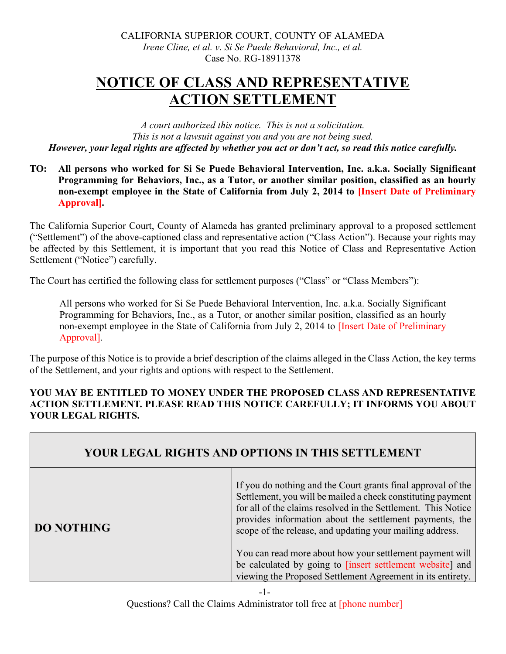# **NOTICE OF CLASS AND REPRESENTATIVE ACTION SETTLEMENT**

*A court authorized this notice. This is not a solicitation. This is not a lawsuit against you and you are not being sued. However, your legal rights are affected by whether you act or don't act, so read this notice carefully.*

**TO: All persons who worked for Si Se Puede Behavioral Intervention, Inc. a.k.a. Socially Significant Programming for Behaviors, Inc., as a Tutor, or another similar position, classified as an hourly non-exempt employee in the State of California from July 2, 2014 to [Insert Date of Preliminary Approval].** 

The California Superior Court, County of Alameda has granted preliminary approval to a proposed settlement ("Settlement") of the above-captioned class and representative action ("Class Action"). Because your rights may be affected by this Settlement, it is important that you read this Notice of Class and Representative Action Settlement ("Notice") carefully.

The Court has certified the following class for settlement purposes ("Class" or "Class Members"):

All persons who worked for Si Se Puede Behavioral Intervention, Inc. a.k.a. Socially Significant Programming for Behaviors, Inc., as a Tutor, or another similar position, classified as an hourly non-exempt employee in the State of California from July 2, 2014 to [Insert Date of Preliminary Approval].

The purpose of this Notice is to provide a brief description of the claims alleged in the Class Action, the key terms of the Settlement, and your rights and options with respect to the Settlement.

#### **YOU MAY BE ENTITLED TO MONEY UNDER THE PROPOSED CLASS AND REPRESENTATIVE ACTION SETTLEMENT. PLEASE READ THIS NOTICE CAREFULLY; IT INFORMS YOU ABOUT YOUR LEGAL RIGHTS.**

| YOUR LEGAL RIGHTS AND OPTIONS IN THIS SETTLEMENT |                                                                                                                                                                                                                                                                                                                     |  |
|--------------------------------------------------|---------------------------------------------------------------------------------------------------------------------------------------------------------------------------------------------------------------------------------------------------------------------------------------------------------------------|--|
| <b>DO NOTHING</b>                                | If you do nothing and the Court grants final approval of the<br>Settlement, you will be mailed a check constituting payment<br>for all of the claims resolved in the Settlement. This Notice<br>provides information about the settlement payments, the<br>scope of the release, and updating your mailing address. |  |
|                                                  | You can read more about how your settlement payment will<br>be calculated by going to [insert settlement website] and<br>viewing the Proposed Settlement Agreement in its entirety.                                                                                                                                 |  |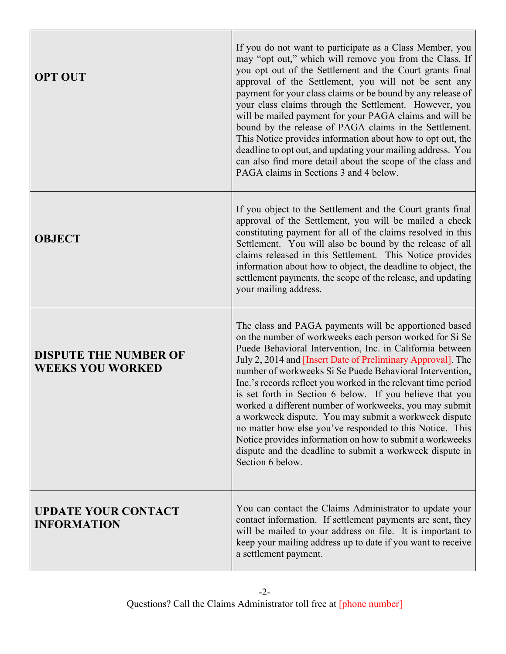| <b>OPT OUT</b>                                          | If you do not want to participate as a Class Member, you<br>may "opt out," which will remove you from the Class. If<br>you opt out of the Settlement and the Court grants final<br>approval of the Settlement, you will not be sent any<br>payment for your class claims or be bound by any release of<br>your class claims through the Settlement. However, you<br>will be mailed payment for your PAGA claims and will be<br>bound by the release of PAGA claims in the Settlement.<br>This Notice provides information about how to opt out, the<br>deadline to opt out, and updating your mailing address. You<br>can also find more detail about the scope of the class and<br>PAGA claims in Sections 3 and 4 below.                                               |
|---------------------------------------------------------|--------------------------------------------------------------------------------------------------------------------------------------------------------------------------------------------------------------------------------------------------------------------------------------------------------------------------------------------------------------------------------------------------------------------------------------------------------------------------------------------------------------------------------------------------------------------------------------------------------------------------------------------------------------------------------------------------------------------------------------------------------------------------|
| <b>OBJECT</b>                                           | If you object to the Settlement and the Court grants final<br>approval of the Settlement, you will be mailed a check<br>constituting payment for all of the claims resolved in this<br>Settlement. You will also be bound by the release of all<br>claims released in this Settlement. This Notice provides<br>information about how to object, the deadline to object, the<br>settlement payments, the scope of the release, and updating<br>your mailing address.                                                                                                                                                                                                                                                                                                      |
| <b>DISPUTE THE NUMBER OF</b><br><b>WEEKS YOU WORKED</b> | The class and PAGA payments will be apportioned based<br>on the number of workweeks each person worked for Si Se<br>Puede Behavioral Intervention, Inc. in California between<br>July 2, 2014 and <i>[Insert Date of Preliminary Approval]</i> . The<br>number of workweeks Si Se Puede Behavioral Intervention,<br>Inc.'s records reflect you worked in the relevant time period<br>is set forth in Section 6 below. If you believe that you<br>worked a different number of workweeks, you may submit<br>a workweek dispute. You may submit a workweek dispute<br>no matter how else you've responded to this Notice. This<br>Notice provides information on how to submit a workweeks<br>dispute and the deadline to submit a workweek dispute in<br>Section 6 below. |
| <b>UPDATE YOUR CONTACT</b><br><b>INFORMATION</b>        | You can contact the Claims Administrator to update your<br>contact information. If settlement payments are sent, they<br>will be mailed to your address on file. It is important to<br>keep your mailing address up to date if you want to receive<br>a settlement payment.                                                                                                                                                                                                                                                                                                                                                                                                                                                                                              |

Г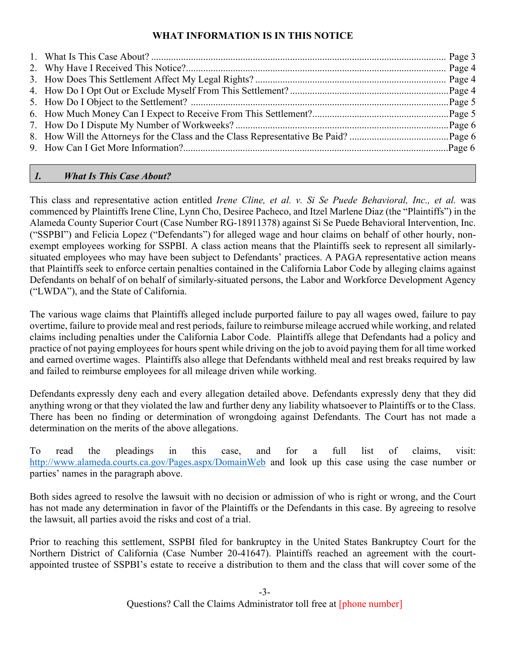# **WHAT INFORMATION IS IN THIS NOTICE**

# *1. What Is This Case About?*

This class and representative action entitled *Irene Cline, et al. v. Si Se Puede Behavioral, Inc., et al.* was commenced by Plaintiffs Irene Cline, Lynn Cho, Desiree Pacheco, and Itzel Marlene Diaz (the "Plaintiffs") in the Alameda County Superior Court (Case Number RG-18911378) against Si Se Puede Behavioral Intervention, Inc. ("SSPBI") and Felicia Lopez ("Defendants") for alleged wage and hour claims on behalf of other hourly, nonexempt employees working for SSPBI. A class action means that the Plaintiffs seek to represent all similarlysituated employees who may have been subject to Defendants' practices. A PAGA representative action means that Plaintiffs seek to enforce certain penalties contained in the California Labor Code by alleging claims against Defendants on behalf of on behalf of similarly-situated persons, the Labor and Workforce Development Agency ("LWDA"), and the State of California.

The various wage claims that Plaintiffs alleged include purported failure to pay all wages owed, failure to pay overtime, failure to provide meal and rest periods, failure to reimburse mileage accrued while working, and related claims including penalties under the California Labor Code. Plaintiffs allege that Defendants had a policy and practice of not paying employees for hours spent while driving on the job to avoid paying them for all time worked and earned overtime wages. Plaintiffs also allege that Defendants withheld meal and rest breaks required by law and failed to reimburse employees for all mileage driven while working.

Defendants expressly deny each and every allegation detailed above. Defendants expressly deny that they did anything wrong or that they violated the law and further deny any liability whatsoever to Plaintiffs or to the Class. There has been no finding or determination of wrongdoing against Defendants. The Court has not made a determination on the merits of the above allegations.

To read the pleadings in this case, and for a full list of claims, visit: <http://www.alameda.courts.ca.gov/Pages.aspx/DomainWeb> and look up this case using the case number or parties' names in the paragraph above.

Both sides agreed to resolve the lawsuit with no decision or admission of who is right or wrong, and the Court has not made any determination in favor of the Plaintiffs or the Defendants in this case. By agreeing to resolve the lawsuit, all parties avoid the risks and cost of a trial.

Prior to reaching this settlement, SSPBI filed for bankruptcy in the United States Bankruptcy Court for the Northern District of California (Case Number 20-41647). Plaintiffs reached an agreement with the courtappointed trustee of SSPBI's estate to receive a distribution to them and the class that will cover some of the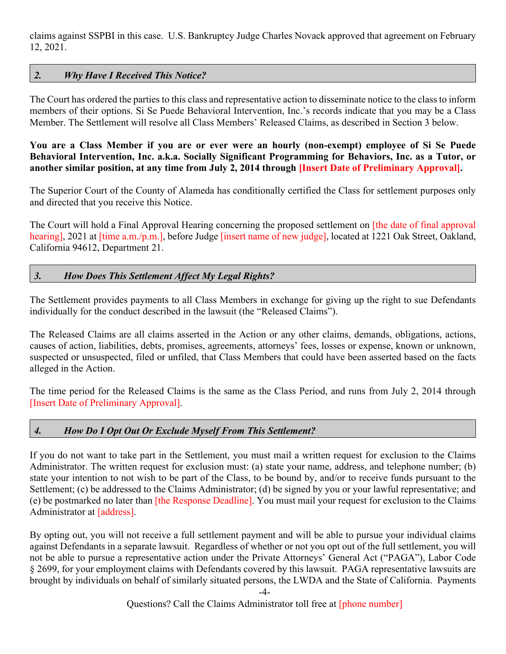claims against SSPBI in this case. U.S. Bankruptcy Judge Charles Novack approved that agreement on February 12, 2021.

#### *2. Why Have I Received This Notice?*

The Court has ordered the parties to this class and representative action to disseminate notice to the class to inform members of their options. Si Se Puede Behavioral Intervention, Inc.'s records indicate that you may be a Class Member. The Settlement will resolve all Class Members' Released Claims, as described in Section 3 below.

**You are a Class Member if you are or ever were an hourly (non-exempt) employee of Si Se Puede Behavioral Intervention, Inc. a.k.a. Socially Significant Programming for Behaviors, Inc. as a Tutor, or another similar position, at any time from July 2, 2014 through [Insert Date of Preliminary Approval].** 

The Superior Court of the County of Alameda has conditionally certified the Class for settlement purposes only and directed that you receive this Notice.

The Court will hold a Final Approval Hearing concerning the proposed settlement on [the date of final approval hearing], 2021 at [time a.m./p.m.], before Judge [insert name of new judge], located at 1221 Oak Street, Oakland, California 94612, Department 21.

#### *3. How Does This Settlement Affect My Legal Rights?*

The Settlement provides payments to all Class Members in exchange for giving up the right to sue Defendants individually for the conduct described in the lawsuit (the "Released Claims").

The Released Claims are all claims asserted in the Action or any other claims, demands, obligations, actions, causes of action, liabilities, debts, promises, agreements, attorneys' fees, losses or expense, known or unknown, suspected or unsuspected, filed or unfiled, that Class Members that could have been asserted based on the facts alleged in the Action.

The time period for the Released Claims is the same as the Class Period, and runs from July 2, 2014 through [Insert Date of Preliminary Approval].

#### *4. How Do I Opt Out Or Exclude Myself From This Settlement?*

If you do not want to take part in the Settlement, you must mail a written request for exclusion to the Claims Administrator. The written request for exclusion must: (a) state your name, address, and telephone number; (b) state your intention to not wish to be part of the Class, to be bound by, and/or to receive funds pursuant to the Settlement; (c) be addressed to the Claims Administrator; (d) be signed by you or your lawful representative; and (e) be postmarked no later than [the Response Deadline]. You must mail your request for exclusion to the Claims Administrator at [address].

By opting out, you will not receive a full settlement payment and will be able to pursue your individual claims against Defendants in a separate lawsuit. Regardless of whether or not you opt out of the full settlement, you will not be able to pursue a representative action under the Private Attorneys' General Act ("PAGA"), Labor Code § 2699, for your employment claims with Defendants covered by this lawsuit. PAGA representative lawsuits are brought by individuals on behalf of similarly situated persons, the LWDA and the State of California. Payments

-4-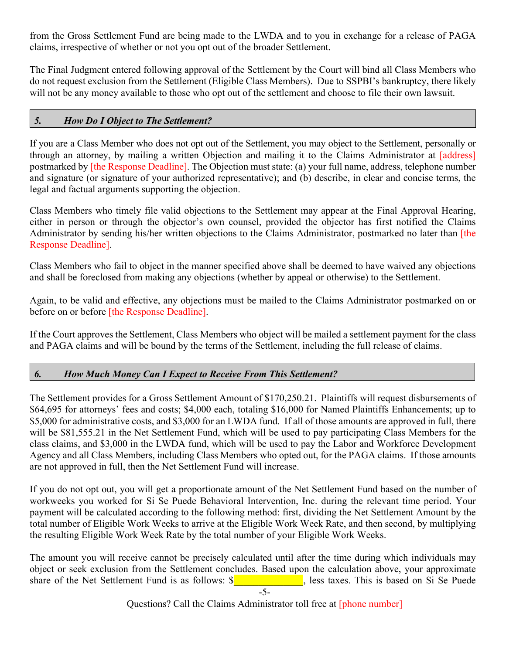from the Gross Settlement Fund are being made to the LWDA and to you in exchange for a release of PAGA claims, irrespective of whether or not you opt out of the broader Settlement.

The Final Judgment entered following approval of the Settlement by the Court will bind all Class Members who do not request exclusion from the Settlement (Eligible Class Members). Due to SSPBI's bankruptcy, there likely will not be any money available to those who opt out of the settlement and choose to file their own lawsuit.

#### *5. How Do I Object to The Settlement?*

If you are a Class Member who does not opt out of the Settlement, you may object to the Settlement, personally or through an attorney, by mailing a written Objection and mailing it to the Claims Administrator at [address] postmarked by [the Response Deadline]. The Objection must state: (a) your full name, address, telephone number and signature (or signature of your authorized representative); and (b) describe, in clear and concise terms, the legal and factual arguments supporting the objection.

Class Members who timely file valid objections to the Settlement may appear at the Final Approval Hearing, either in person or through the objector's own counsel, provided the objector has first notified the Claims Administrator by sending his/her written objections to the Claims Administrator, postmarked no later than [the Response Deadline].

Class Members who fail to object in the manner specified above shall be deemed to have waived any objections and shall be foreclosed from making any objections (whether by appeal or otherwise) to the Settlement.

Again, to be valid and effective, any objections must be mailed to the Claims Administrator postmarked on or before on or before [the Response Deadline].

If the Court approves the Settlement, Class Members who object will be mailed a settlement payment for the class and PAGA claims and will be bound by the terms of the Settlement, including the full release of claims.

## *6. How Much Money Can I Expect to Receive From This Settlement?*

The Settlement provides for a Gross Settlement Amount of \$170,250.21. Plaintiffs will request disbursements of \$64,695 for attorneys' fees and costs; \$4,000 each, totaling \$16,000 for Named Plaintiffs Enhancements; up to \$5,000 for administrative costs, and \$3,000 for an LWDA fund. If all of those amounts are approved in full, there will be \$81,555.21 in the Net Settlement Fund, which will be used to pay participating Class Members for the class claims, and \$3,000 in the LWDA fund, which will be used to pay the Labor and Workforce Development Agency and all Class Members, including Class Members who opted out, for the PAGA claims. If those amounts are not approved in full, then the Net Settlement Fund will increase.

If you do not opt out, you will get a proportionate amount of the Net Settlement Fund based on the number of workweeks you worked for Si Se Puede Behavioral Intervention, Inc. during the relevant time period. Your payment will be calculated according to the following method: first, dividing the Net Settlement Amount by the total number of Eligible Work Weeks to arrive at the Eligible Work Week Rate, and then second, by multiplying the resulting Eligible Work Week Rate by the total number of your Eligible Work Weeks.

The amount you will receive cannot be precisely calculated until after the time during which individuals may object or seek exclusion from the Settlement concludes. Based upon the calculation above, your approximate share of the Net Settlement Fund is as follows:  $\frac{1}{2}$  ess taxes. This is based on Si Se Puede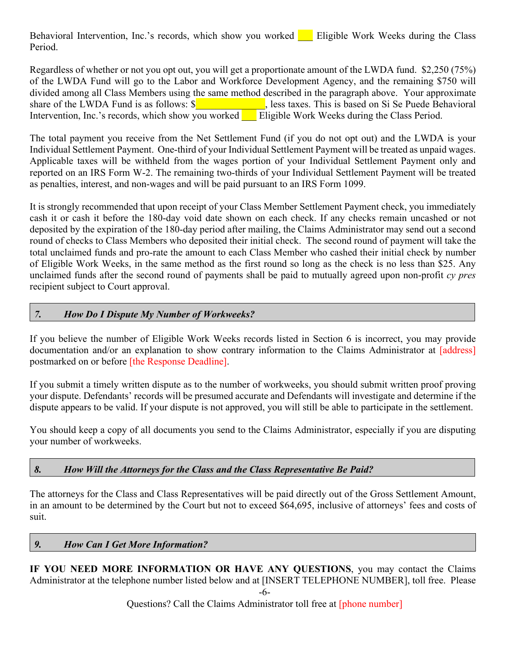Behavioral Intervention, Inc.'s records, which show you worked  $\blacksquare$  Eligible Work Weeks during the Class Period.

Regardless of whether or not you opt out, you will get a proportionate amount of the LWDA fund. \$2,250 (75%) of the LWDA Fund will go to the Labor and Workforce Development Agency, and the remaining \$750 will divided among all Class Members using the same method described in the paragraph above. Your approximate share of the LWDA Fund is as follows:  $\frac{\sqrt{2}}{2}$  less taxes. This is based on Si Se Puede Behavioral Intervention, Inc.'s records, which show you worked Eligible Work Weeks during the Class Period.

The total payment you receive from the Net Settlement Fund (if you do not opt out) and the LWDA is your Individual Settlement Payment. One-third of your Individual Settlement Payment will be treated as unpaid wages. Applicable taxes will be withheld from the wages portion of your Individual Settlement Payment only and reported on an IRS Form W-2. The remaining two-thirds of your Individual Settlement Payment will be treated as penalties, interest, and non-wages and will be paid pursuant to an IRS Form 1099.

It is strongly recommended that upon receipt of your Class Member Settlement Payment check, you immediately cash it or cash it before the 180-day void date shown on each check. If any checks remain uncashed or not deposited by the expiration of the 180-day period after mailing, the Claims Administrator may send out a second round of checks to Class Members who deposited their initial check. The second round of payment will take the total unclaimed funds and pro-rate the amount to each Class Member who cashed their initial check by number of Eligible Work Weeks, in the same method as the first round so long as the check is no less than \$25. Any unclaimed funds after the second round of payments shall be paid to mutually agreed upon non-profit *cy pres* recipient subject to Court approval.

## *7. How Do I Dispute My Number of Workweeks?*

If you believe the number of Eligible Work Weeks records listed in Section 6 is incorrect, you may provide documentation and/or an explanation to show contrary information to the Claims Administrator at [address] postmarked on or before [the Response Deadline].

If you submit a timely written dispute as to the number of workweeks, you should submit written proof proving your dispute. Defendants' records will be presumed accurate and Defendants will investigate and determine if the dispute appears to be valid. If your dispute is not approved, you will still be able to participate in the settlement.

You should keep a copy of all documents you send to the Claims Administrator, especially if you are disputing your number of workweeks.

## *8. How Will the Attorneys for the Class and the Class Representative Be Paid?*

The attorneys for the Class and Class Representatives will be paid directly out of the Gross Settlement Amount, in an amount to be determined by the Court but not to exceed \$64,695, inclusive of attorneys' fees and costs of suit.

#### *9. How Can I Get More Information?*

**IF YOU NEED MORE INFORMATION OR HAVE ANY QUESTIONS**, you may contact the Claims Administrator at the telephone number listed below and at [INSERT TELEPHONE NUMBER], toll free. Please